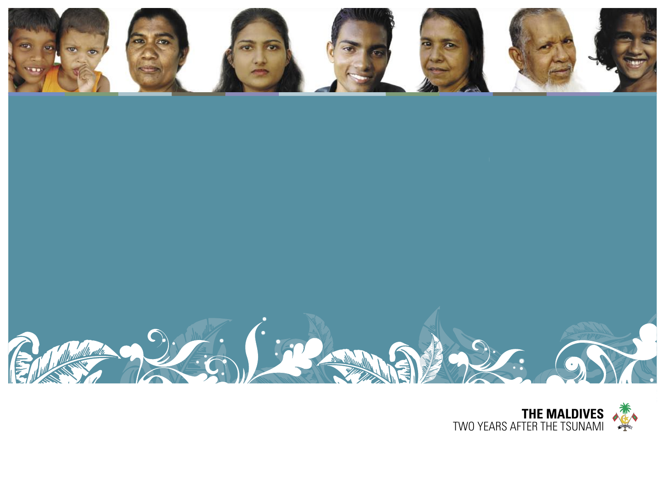





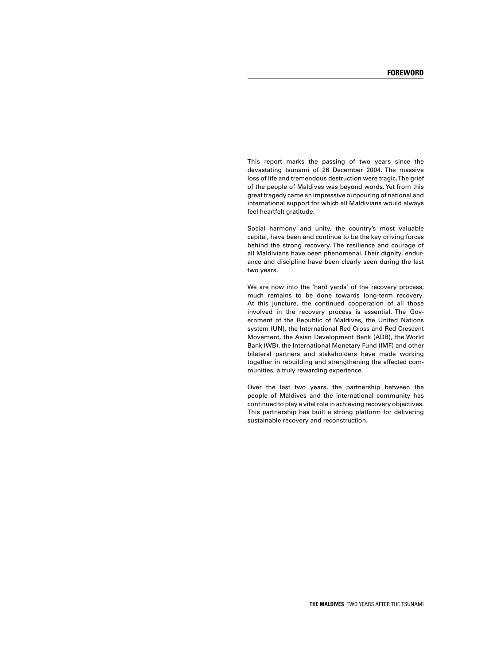This report marks the passing of two years since the devastating tsunami of 26 December 2004. The massive loss of life and tremendous destruction were tragic. The grief of the people of Maldives was beyond words. Yet from this great tragedy came an impressive outpouring of national and international support for which all Maldivians would always feel heartfelt gratitude.

Social harmony and unity, the country's most valuable capital, have been and continue to be the key driving forces behind the strong recovery.The resilience and courage of all Maldivians have been phenomenal. Their dignity, endurance and discipline have been clearly seen during the last two years.

We are now into the 'hard yards' of the recovery process; much remains to be done towards long-term recovery. At this juncture, the continued cooperation of all those involved in the recovery process is essential. The Government of the Republic of Maldives, the United Nations system (UN), the International Red Cross and Red Crescent Movement, the Asian Development Bank (ADB), the World Bank (WB), the International Monetary Fund (IMF) and other bilateral partners and stakeholders have made working together in rebuilding and strengthening the affected communities, a truly rewarding experience.

Over the last two years, the partnership between the people of Maldives and the international community has continued to play a vital role in achieving recovery objectives. This partnership has built a strong platform for delivering sustainable recovery and reconstruction.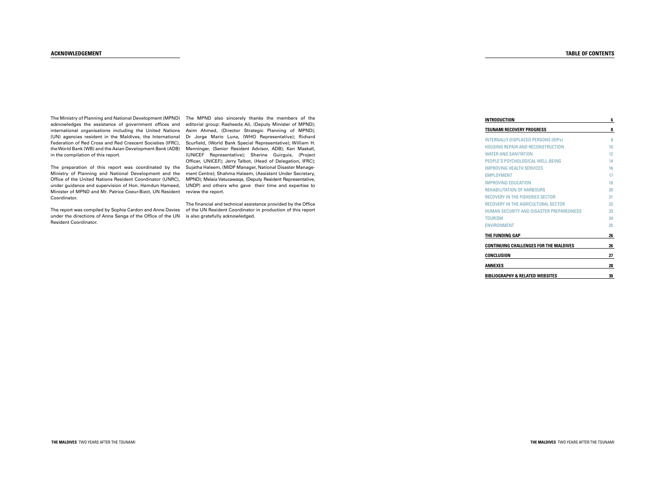| <b>INTRODUCTION</b>                           | 6               |
|-----------------------------------------------|-----------------|
| <b>TSUNAMI RECOVERY PROGRESS</b>              | 8               |
| INTERNALLY DISPLACED PERSONS (IDPs)           | 8               |
| <b>HOUSING REPAIR AND RECONSTRUCTION</b>      | 10              |
| <b>WATER AND SANITATION</b>                   | 12 <sup>2</sup> |
| PEOPLE'S PSYCHOLOGICAL WELL-BEING             | 14              |
| <b>IMPROVING HEALTH SERVICES</b>              | 16              |
| <b>FMPI OYMENT</b>                            | 17              |
| IMPROVING EDUCATION                           | 18              |
| <b>REHABILITATION OF HARBOURS</b>             | 20              |
| <b>RECOVERY IN THE FISHERIES SECTOR</b>       | 21              |
| <b>RECOVERY IN THE AGRICULTURAL SECTOR</b>    | 22              |
| HUMAN SECURITY AND DISASTER PREPAREDNESS      | 23              |
| <b>TOURISM</b>                                | 24              |
| <b>FNVIRONMENT</b>                            | 25              |
| THE FUNDING GAP                               | 26              |
| <b>CONTINUING CHALLENGES FOR THE MALDIVES</b> | 26              |
| <b>CONCLUSION</b>                             | 27              |
| <b>ANNEXES</b>                                | 28              |
| <b>BIBLIOGRAPHY &amp; RELATED WEBSITES</b>    | 30              |

#### **ACKNOWLEDGEMENT**

The Ministry of Planning and National Development (MPND) The MPND also sincerely thanks the members of the acknowledges the assistance of government offices and international organisations including the United Nations (UN) agencies resident in the Maldives, the International Federation of Red Cross and Red Crescent Societies (IFRC), the World Bank (WB) and the Asian Development Bank (ADB) in the compilation of this report.

The preparation of this report was coordinated by the Sujatha Haleem, (MIDP Manager, National Disaster Manage-Ministry of Planning and National Development and the Office of the United Nations Resident Coordinator (UNRC), under guidance and supervision of Hon. Hamdun Hameed, Minister of MPND and Mr. Patrice Coeur-Bizot, UN Resident Coordinator.

under the directions of Anna Senga of the Office of the UN  $\;$  is also gratefully acknowledged. Resident Coordinator.

editorial group: Rasheeda Ali, (Deputy Minister of MPND); Asim Ahmed, (Director Strategic Planning of MPND); Dr Jorge Mario Luna, (WHO Representative); Richard Scurfield, (World Bank Special Representative); William H. Menninger, (Senior Resident Advisor, ADB); Ken Maskall, (UNICEF Representative); Sherine Guirguis, (Project Officer, UNICEF); Jerry Talbot, (Head of Delegation, IFRC); ment Centre); Shahma Haleem, (Assistant Under Secretary, MPND); Melaia Vatucawaqa, (Deputy Resident Representative, UNDP) and others who gave their time and expertise to review the report.

The report was compiled by Sophie Cardon and Anne Davies  $\;$  of the UN Resident Coordinator in production of this report The financial and technical assistance provided by the Office

#### **TABLE OF CONTENTS**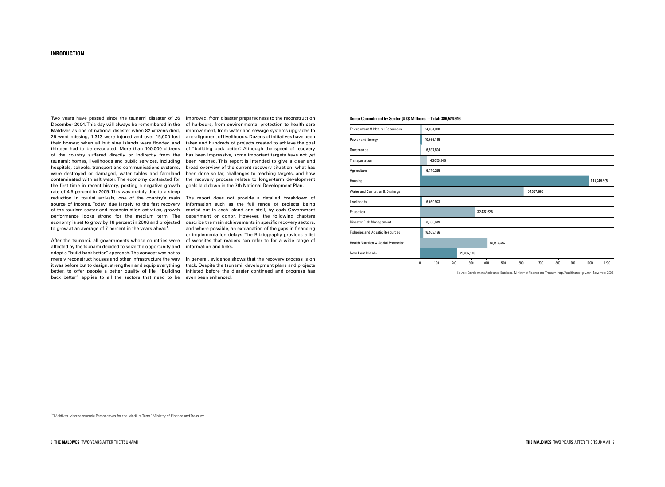#### 6**THEMALDIVES**TWOYEARSAFTERTHETSUNAMI **THEMALDIVES**TWOYEARSAFTERTHETSUNAMI7

Two years have passed since the tsunami disaster of 26 improved,fromdisasterpreparednesstothereconstruction December 2004. This day will always be remembered in the of harbours, from environmental protection to health care improvement, from water and sewage systems upgrades to a re-alignment of livelihoods. Dozens of initiatives have been taken and hundreds of projects created to achieve the goal of "building back better". Although the speed of recovery has been impressive, some important targets have not yet been reached.This report is intended to give a clear and broad overview of the current recovery situation: what has been done so far, challenges to reaching targets, and how the recovery process relates to longer-term development goals laid down in the 7th National Development Plan.

| <b>Environment &amp; Natural Resources</b>      |   | 14,354,018 |     |            |            |            |     |            |     |     |      |             |
|-------------------------------------------------|---|------------|-----|------------|------------|------------|-----|------------|-----|-----|------|-------------|
| Power and Energy                                |   | 10,666,155 |     |            |            |            |     |            |     |     |      |             |
| Governance                                      |   | 6,597,604  |     |            |            |            |     |            |     |     |      |             |
| Transportation                                  |   | 43,056,949 |     |            |            |            |     |            |     |     |      |             |
| Agriculture                                     |   | 6,740,265  |     |            |            |            |     |            |     |     |      |             |
| Housing                                         |   |            |     |            |            |            |     |            |     |     |      | 115,249,805 |
| Water and Sanitation & Drainage                 |   |            |     |            |            |            |     | 64,077,626 |     |     |      |             |
| Livelihoods                                     |   | 6,030,973  |     |            |            |            |     |            |     |     |      |             |
| Education                                       |   |            |     |            | 32,437,628 |            |     |            |     |     |      |             |
| Disaster Risk Management                        |   | 3,738,649  |     |            |            |            |     |            |     |     |      |             |
| <b>Fisheries and Aquatic Resources</b>          |   | 16,563,196 |     |            |            |            |     |            |     |     |      |             |
| <b>Health Nutrition &amp; Social Protection</b> |   |            |     |            |            | 40,674,862 |     |            |     |     |      |             |
| New Host Islands                                |   |            |     | 20,337,186 |            |            |     |            |     |     |      |             |
|                                                 | 0 | 100        | 200 | 300        | 400        | 500        | 600 | 700        | 800 | 900 | 1000 | 1200        |

Source: Development Assistance Database, Ministry of Finance and Treasury, http://dad.finance.gov.mv - November 2006

| <b>Environment &amp; Natural Resources</b>      | 14,354,018 |     |            |            |            |     |            |
|-------------------------------------------------|------------|-----|------------|------------|------------|-----|------------|
| Power and Energy                                | 10,666,155 |     |            |            |            |     |            |
| Governance                                      | 6,597,604  |     |            |            |            |     |            |
| Transportation                                  | 43,056,949 |     |            |            |            |     |            |
| Agriculture                                     | 6,740,265  |     |            |            |            |     |            |
| Housing                                         |            |     |            |            |            |     |            |
| Water and Sanitation & Drainage                 |            |     |            |            |            |     | 64,077,626 |
| Livelihoods                                     | 6,030,973  |     |            |            |            |     |            |
| Education                                       |            |     |            | 32,437,628 |            |     |            |
| Disaster Risk Management                        | 3,738,649  |     |            |            |            |     |            |
| <b>Fisheries and Aquatic Resources</b>          | 16,563,196 |     |            |            |            |     |            |
| <b>Health Nutrition &amp; Social Protection</b> |            |     |            |            | 40,674,862 |     |            |
| New Host Islands                                |            |     | 20,337,186 |            |            |     |            |
| 0                                               | 100        | 200 | 300        | 400        | 500        | 600 | ⊤<br>700   |

<sup>1</sup> "Maldives Macroeconomic Perspectives for the Medium Term", Ministry of Finance and Treasury.

The report does not provide a detailed breakdown of information such as the full range of projects being carried out in each island and atoll, by each Government department or donor. However, the following chapters describe the main achievements in specific recovery sectors, and where possible, an explanation of the gaps in financing or implementation delays. The Bibliography provides a list of websites that readers can refer to for a wide range of information and links.

In general, evidence shows that the recovery process is on track. Despite the tsunami, development plans and projects initiated before the disaster continued and progress has even been enhanced.

#### **Donor Commitment by Sector (US\$ Millions) - Total: 380,524,916**

After the tsunami, all governments whose countries were affected by the tsunami decided to seize the opportunity and adopt a "build back better" approach. The concept was not to merely reconstruct houses and other infrastructure the way it was before but to design, strengthen and equip everything better, to offer people a better quality of life. "Building back better" applies to all the sectors that need to be

#### **INRODUCTION**

Maldives as one of national disaster when 82 citizens died, 26 went missing, 1,313 were injured and over 15,000 lost their homes; when all but nine islands were flooded and thirteen had to be evacuated. More than 100,000 citizens of the country suffered directly or indirectly from the tsunami: homes, livelihoods and public services, including hospitals, schools, transport and communications systems, were destroyed or damaged, water tables and farmland contaminated with salt water. The economy contracted for the first time in recent history, posting a negative growth rate of 4.5 percent in 2005. This was mainly due to a steep reduction in tourist arrivals, one of the country's main source of income. Today, due largely to the fast recovery of the tourism sector and reconstruction activities, growth performance looks strong for the medium term. The economy is set to grow by 18 percent in 2006 and projected to grow at an average of 7 percent in the years ahead<sup>1</sup>.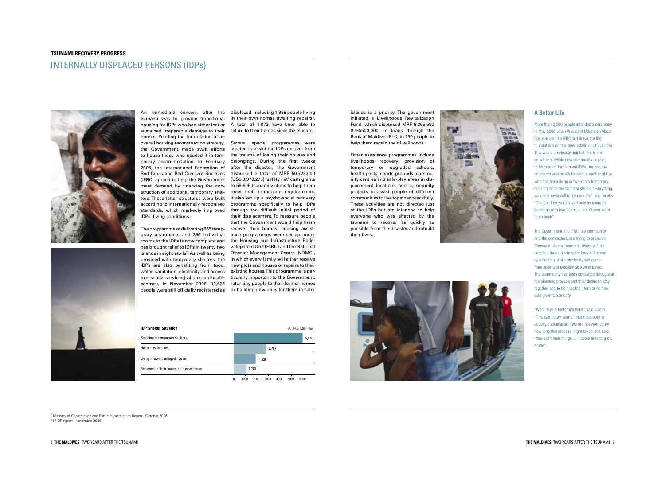#### **TSUNAMI RECOVERY PROGRESS**

# INTERNALLY DISPLACED PERSONS (IDPs)





"We'll have a better life here," said lasath. "This is a better island". Her neighbour is equally enthusiastic: "We are not worried by how long this process might take", she said. "You can't rush things... it takes time to grow atree".

Other assistance programmes include livelihoods recovery, provision of temporary or upgraded schools, health posts, sports grounds, community centres and safe-play areas in displacement locations and community projects to assist people of different communities to live together peacefully. These activities are not directed just at the IDPs but are intended to help everyone who was affected by the tsunami to recover as quickly as possible from the disaster and rebuild their lives.

An immediate concern after the displaced,including1,938peopleliving housing for IDPs who had either lost or  $A$  total of 1,073 have been able to in their own homes awaiting repairs<sup>3</sup>.

overall housing reconstruction strategy, Several special programmes were to house those who needed it in tem- the trauma of losing their houses and porary accommodation. In February belongings. During the first weeks 2005, the International Federation of after the disaster, the Government Red Cross and Red Crescent Societies disbursed a total of MRF 50,723,000 (IFRC) agreed to help the Government (US\$3,978.275) 'safety net' cash grants meet demand by financing the con-to55,605tsunamivictimstohelpthem standards, which markedly improved through the difficult initial period of people were still officially registered as or building new ones for them in safer created to assist the IDPs recover from meet their immediate requirements. It also set up a psycho-social recovery programme specifically to help IDPs their displacement. To reassure people that the Government would help them recover their homes, housing assistance programmes were set up under the Housing and Infrastructure Redevelopment Unit (HIRU) and the National Disaster Management Centre (NDMC), in which every family will either receive new plots and houses or repairs to their existing houses. This programme is particularly important to the Government: returning people to their former homes

islands is a priority. The government initiated a Livelihoods Revitalization Fund, which disbursed MRF 6,365,590 (US\$500,000) in loans through the Bank of Maldives PLC, to 150 people to help them regain their livelihoods.

tsunami was to provide transitional sustained irreparable damage to their return to their homes since the tsunami. homes. Pending the formulation of an the Government made swift efforts struction of additional temporary shelters. These latter structures were built according to internationally recognized IDPs' living conditions.

The programme of delivering 855 temporary apartments and 396 individual rooms to the IDPs is now complete and has brought relief to IDPs in twenty two islands in eight atolls<sup>2</sup>. As well as being provided with temporary shelters, the IDPs are also benefiting from food, water, sanitation, electricity and access to essential services (schools and health centres). In November 2006, 10,665

| <b>IDP Shelter Situation</b>            |        | SOURCE: MIDP Unit        |  |          |                      |         |        |  |
|-----------------------------------------|--------|--------------------------|--|----------|----------------------|---------|--------|--|
| Residing in temporary shelters          |        |                          |  |          |                      |         | 5,940  |  |
| Hosted by families                      |        | 2,787                    |  |          |                      |         |        |  |
| Living in own damaged house             |        | 1,938                    |  |          |                      |         |        |  |
| Returned to their house or in new house |        | 1,073                    |  |          |                      |         |        |  |
|                                         | $\sim$ | $\overline{\phantom{a}}$ |  | $\cdots$ | $\cdots$<br>$\cdots$ | - - - - | $\sim$ |  |

0 1000 2000 3000 4000 5000 6000



<sup>2</sup> Ministry of Construction and Public Infrastructure Report - October 2006 <sup>3</sup> MIDP report - November 2006



#### **A Better Life**

More than 2,000 people attended a ceremony in May 2006 when President Maumoon Abdul Gayoom and the IFRC laid down the first foundations on the 'new' island of Dhuvaafaru. This was a previously uninhabited island on which a whole new community is going to be created for tsunami IDPs. Among the onlookers was lasath Hassan, a mother of five who has been living in two-room temporary housing since the tsunami struck. "Everything was destroyed within 10 minutes", she recalls. "The children were saved only by going to buildings with two floors... I don't ever want to go back".

The Government, the IFRC, the community and the contractors, are trying to preserve Dhuvaafaru's environment. Water will be supplied through rainwater harvesting and desalination, while electricity will come from solar and possibly also wind power. The community has been consulted throughout the planning process and their desire to stay together and to be near their former homes was given top priority.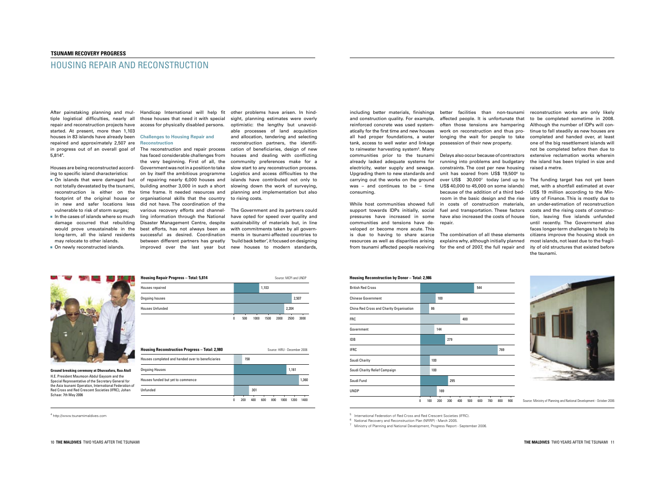# HOUSING REPAIR AND RECONSTRUCTION

including better materials, finishings better facilities than non-tsunami reconstruction works are only likely and construction quality. For example, reinforced concrete was used systematically for the first time and new houses all had proper foundations, a water tank, access to well water and linkage to rainwater harvesting system<sup>5</sup>. Many communities prior to the tsunami already lacked adequate systems for electricity, water supply and sewage. Upgrading them to new standards and carrying out the works on the ground consuming.

While host communities showed full support towards IDPs initially, social pressures have increased in some have also increased the costs of house communities and tensions have de-repair. veloped or become more acute. This is due to having to share scarce resources as well as disparities arising explains why, although initially planned from tsunami affected people receiving for the end of 2007, the full repair and

**Housing Reconstruction by Donor-Total: 2,986** 

was – and continues to be – time  $US$40,000$  to 45,000 on some islands) Delays also occur because of contractors running into problems and budgetary constraints. The cost per new housing unit has soared from US\$ 19,500 6 to over US\$ 30,000<sup>7</sup> today (and up to because of the addition of a third bedroom in the basic design and the rise in costs of construction materials, fuel and transportation. These factors



**Ground breaking ceremony at Dhuvaafaru, Raa Atoll** H.E. President Maumoon Abdul Gayoom and the Special Representative of the Secretary General for the Asia tsunami Operation, International Federation of Red Cross and Red Crescent Societies (IFRC), Johan Schaar. 7th May 2006

often those tensions are hampering work on reconstruction and thus prolonging the wait for people to take possession of their new property.

The combination of all these elements

The funding target has not yet been met, with a shortfall estimated at over US\$ 19 million according to the Ministry of Finance. This is mostly due to an under-estimation of reconstruction costs and the rising costs of construction, leaving five islands unfunded until recently. The Government also faces longer-term challenges to help its citizens improve the housing stock on most islands, not least due to the fragility of old structures that existed before the tsunami.

| Housing Reconstruction by Donor – Total: 2,986 |   |     |     |     |     |     |     |     |     |     |
|------------------------------------------------|---|-----|-----|-----|-----|-----|-----|-----|-----|-----|
| <b>British Red Cross</b>                       |   |     |     |     |     |     | 544 |     |     |     |
| <b>Chinese Government</b>                      |   |     | 100 |     |     |     |     |     |     |     |
| China Red Cross and Charity Organisation       |   | 86  |     |     |     |     |     |     |     |     |
| FRC                                            |   |     |     |     |     | 400 |     |     |     |     |
| Government                                     |   |     | 144 |     |     |     |     |     |     |     |
| IDB                                            |   |     |     | 279 |     |     |     |     |     |     |
| <b>IFRC</b>                                    |   |     |     |     |     |     |     |     | 769 |     |
| Saudi Charity                                  |   | 100 |     |     |     |     |     |     |     |     |
| Saudi Charity Relief Campaign                  |   | 100 |     |     |     |     |     |     |     |     |
| Saudi Fund                                     |   |     |     | 295 |     |     |     |     |     |     |
| UNDP                                           |   |     | 169 |     |     |     |     |     |     |     |
|                                                | 0 | 100 | 200 | 300 | 400 | 500 | 600 | 700 | 800 | 900 |



Source: Ministry of Planning and National Development - October 2006

#### 10 THE MALDIVES TWO YEARS AFTER THE TSUNAMI **THE MALDIVES** TWO YEARS AFTER THE TSUNAMI 11

affected people. It is unfortunate that to be completed sometime in 2008. Although the number of IDPs will continue to fall steadily as new houses are completed and handed over, at least one of the big resettlement islands will not be completed before then due to extensive reclamation works wherein the island has been tripled in size and raisedametre.

After painstaking planning and mul- Handicap International will help fit other problems have arisen. In hindtiple logistical difficulties, nearly all thosehousesthatneeditwithspecial repair and reconstruction projects have  $\;$  access for physically disabled persons. started. At present, more than 1,103 houses in 83 islands have already been Challenges to Housing Repair and repaired and approximately 2,507 are in progress out of an overall goal of The reconstruction and repair process 5,814<sup>4</sup> .

Houses are being reconstructed accord- Government was not in a position to take ing to specific island characteristics:

- reconstruction is either on the time frame. It needed resources and footprint of the original house or organisational skills that the country to rising costs. in new and safer locations less vulnerable to risk of storm surges;
- may relocate to other islands.
- On newly reconstructed islands.

<sup>6</sup> National Recovery and Reconstruction Plan (NRRP) - March 2005.

<sup>7</sup> Ministry of Planning and National Development, Progress Report - September 2006.

not totally devastated by the tsunami, building another 3,000 in such a short slowing down the work of surveying, on by itself the ambitious programme Logistics and access difficulties to the sight, planning estimates were overly optimistic: the lengthy but unavoidable processes of land acquisition and allocation, tendering and selecting reconstruction partners, the identification of beneficiaries, design of new houses and dealing with conflicting community preferences make for a slow start to any reconstruction process. islands have contributed not only to planning and implementation but also

In the cases of islands where so much ling information through the National have opted for speed over quality and damage occurred that rebuilding Disaster Management Centre, despite sustainability of materials but, in line would prove unsustainable in the best efforts, has not always been as with commitments taken by all governlong-term, all the island residents successful as desired. Coordination ments in tsunami-affected countries to various recovery efforts and channel-TheGovernmentanditspartnerscould between different partners has greatly 'build back better', it focused on designing improved over the last year but new houses to modern standards,

 On islands that were damaged but of repairing nearly 6,000 houses and has faced considerable challenges from the very beginning. First of all, the did not have.The coordination of the

# **Reconstruction**

4 http://www.tsunamimaldives.com

| <b>Housing Reconstruction Progress - Total: 2,980</b> |  |     |     |     | Source: HIRU - December 2006 |      |       |       |
|-------------------------------------------------------|--|-----|-----|-----|------------------------------|------|-------|-------|
| Houses completed and handed over to beneficiaries     |  | 158 |     |     |                              |      |       |       |
| <b>Ongoing Houses</b>                                 |  |     |     |     |                              |      | 1,161 |       |
| Houses funded but yet to commence                     |  |     |     |     |                              |      |       | 1,360 |
| Unfunded                                              |  |     | 301 |     |                              |      |       |       |
|                                                       |  |     | 400 | 600 | 800                          | 1000 |       | 1400  |

<sup>5</sup> International Federation of Red Cross and Red Crescent Societies (IFRC).

| <b>Housing Repair Progress - Total: 5,814</b> |   | Source: MCPI and UNDP |      |       |      |       |       |  |  |
|-----------------------------------------------|---|-----------------------|------|-------|------|-------|-------|--|--|
| Houses repaired                               |   |                       |      | 1,103 |      |       |       |  |  |
| Ongoing houses                                |   |                       |      |       |      |       | 2,507 |  |  |
| <b>Houses Unfunded</b>                        |   |                       |      |       |      | 2,204 |       |  |  |
|                                               | 0 | 500                   | 1000 | 1500  | 2000 | 2500  | 3000  |  |  |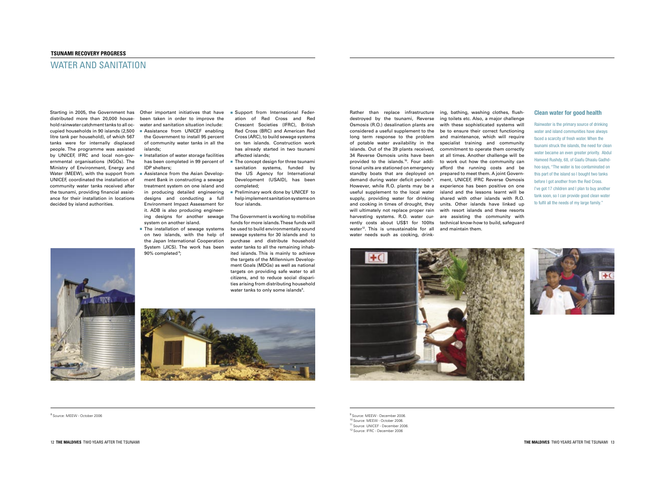#### **TSUNAMI RECOVERY PROGRESS**

### WATER AND SANITATION

Rather than replace infrastructure ing, bathing, washing clothes, flushdestroyed by the tsunami, Reverse ing toilets etc. Also, a major challenge Osmosis (R.O.) desalination plants are with these sophisticated systems will considered a useful supplement to the be to ensure their correct functioning long term response to the problem and maintenance, which will require of potable water availability in the specialist training and community islands. Out of the 39 plants received, 34 Reverse Osmosis units have been provided to the islands.<sup>10</sup>. Four addi tional units are stationed on emergency standby boats that are deployed on preparedtomeetthem.AjointGoverndemand during water deficit periods<sup>11</sup>. However, while R.O. plants may be a experience has been positive on one useful supplement to the local water island and the lessons learnt will be supply, providing water for drinking shared with other islands with R.O. and cooking in times of drought, they units. Other islands have linked up will ultimately not replace proper rain with resort islands and these resorts harvesting systems. R.O. water cur-are assisting the community with rently costs about US\$1 for 100lts technical know-how to build, safeguard water<sup>12</sup>. This is unsustainable for all and maintain them. water needs such as cooking, drink-









<sup>9</sup> Source: MEEW - December 2006.

<sup>10</sup> Source: MEEW - October 2006.

<sup>1</sup> Source: UNICEF - December 2006.

<sup>12</sup> Source: IFRC - December 2006

<sup>8</sup> Source: MEEW - October 2006

commitment to operate them correctly at all times. Another challenge will be to work out how the community can afford the running costs and be ment, UNICEF, IFRC Reverse Osmosis

#### **Clean water for good health**

Rainwater is the primary source of drinking water and island communities have always faced a scarcity of fresh water. When the tsunami struck the islands, the need for clean water became an even greater priority. Abdul Hameed Rushdy, 68, of Gaafu Dhaalu Gadhdhoo says, "The water is too contaminated on this part of the island so I bought two tanks before I got another from the Red Cross. I've got 17 children and I plan to buy another tank soon, so I can provide good clean water to fulfil all the needs of my large family."



distributed more than 20,000 house hold rainwater catchment tanks to all occupied households in 90 islands (2,500 litre tank per household), of which 567 tanks were for internally displaced people.The programme was assisted by UNICEF, IFRC and local non-governmental organisations (NGOs).The Ministry of Environment, Energy and Water (MEEW), with the support from UNICEF, coordinated the installation of community water tanks received after the tsunami, providing financial assistance for their installation in locations decided by island authorities.

been taken in order to improve the water and sanitation situation include: **Assistance from UNICEF enabling** 

- the Government to install 95 percent of community water tanks in all the islands;
- $\blacksquare$  Installation of water storage facilities has been completed in 99 percent of IDPshelters;
- Assistance from the Asian Development Bank in constructing a sewage treatment system on one island and in producing detailed engineering designs and conducting a full Environment Impact Assessment for it. ADB is also producing engineer ing designs for another sewage system on another island.
- The installation of sewage systems on two islands, with the help of the Japan International Cooperation System (JICS). The work has been 90% completed<sup>8</sup>;
- Starting in 2005, the Government has Other important initiatives that have Support from International Feder ation of Red Cross and Red Crescent Societies (IFRC), British Red Cross (BRC) and American Red Cross (ARC), to build sewage systems on ten islands. Construction work has already started in two tsunami affected islands;
	- $\blacksquare$  The concept design for three tsunami sanitation systems, funded by the US Agency for International Development (USAID), has been completed;
	- Preliminary work done by UNICEF to help implement sanitation systems on four islands.

The Government is working to mobilise funds for more islands. These funds will be used to build environmentally sound sewage systems for 30 islands and to purchase and distribute household water tanks to all the remaining inhabited islands.This is mainly to achieve the targets of the Millennium Development Goals (MDGs) as well as national targets on providing safe water to all citizens, and to reduce social disparities arising from distributing household water tanks to only some islands<sup>9</sup>.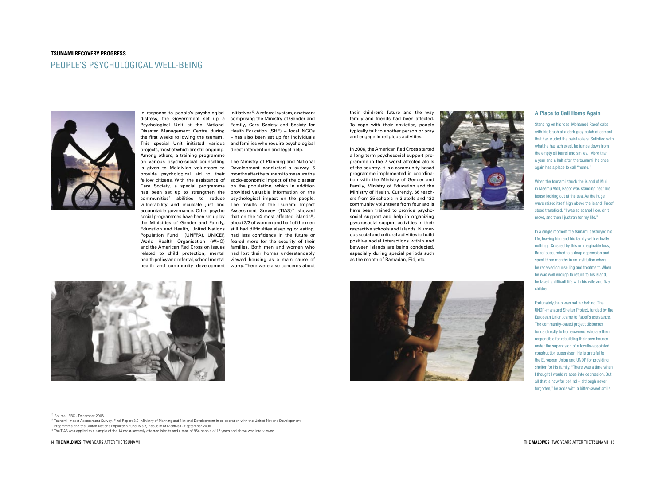#### **TSUNAMI RECOVERY PROGRESS**

### PEOPLE'S PSYCHOLOGICAL WELL-BEING



their children's future and the way family and friends had been affected. To cope with their anxieties, people typically talk to another person or pray and engage in religious activities.

In 2006, the American Red Cross started a long term psychosocial support programme in the 7 worst affected atolls of the country. It is a community-based programme implemented in coordination with the Ministry of Gender and Family, Ministry of Education and the Ministry of Health. Currently, 66 teachers from 35 schools in 3 atolls and 120 community volunteers from four atolls have been trained to provide psychosocial support and help in organizing psychosocial support activities in their respective schools and islands. Numerous social and cultural activities to build positive social interactions within and between islands are being conducted, especially during special periods such as the month of Ramadan, Eid, etc.





In a single moment the tsunami destroyed his life, leaving him and his family with virtually nothing. Crushed by this unimaginable loss, Raoof succumbed to a deep depression and spent three months in an institution where he received counselling and treatment. When he was well enough to return to his island, he faced a difficult life with his wife and five children.

Fortunately, help was not far behind. The UNDP-managed Shelter Project, funded by the European Union, came to Raoof's assistance. The community-based project disburses funds directly to homeowners, who are then responsible for rebuilding their own houses under the supervision of a locally-appointed construction supervisor. He is grateful to the European Union and UNDP for providing shelter for his family. "There was a time when I thought I would relapse into depression. But all that is now far behind  $-$  although never forgotten," he adds with a bitter-sweet smile.

on various psycho-social counselling The Ministry of Planning and National is given to Maldivian volunteers to Development conducted a survey 6 Care Society, a special programme on the population, which in addition has been set up to strengthen the provided valuable information on the accountable governance. Other psycho Assessment Survey (TIAS)<sup>14</sup> showed social programmes have been set up by  $\;$  that on the 14 most affected islands<sup>15</sup>, the Ministries of Gender and Family, about2/3ofwomenandhalfofthemen Education and Health, United Nations stillhaddifficultiessleepingoreating, Population Fund (UNFPA), UNICEF, had less confidence in the future or monthsafterthetsunamitomeasurethe socio-economic impact of the disaster psychological impact on the people. The results of the Tsunami Impact feared more for the security of their families. Both men and women who had lost their homes understandably viewed housing as a main cause of

distress, the Government set up a Psychological Unit at the National Disaster Management Centre during the first weeks following the tsunami. This special Unit initiated various projects,mostofwhicharestillongoing. Among others, a training programme provide psychological aid to their fellow citizens.With the assistance of communities' abilities to reduce vulnerability and inculcate just and World Health Organisation (WHO) and the American Red Cross on issues related to child protection, mental health policy and referral, school mental health and community development worry.Therewerealsoconcernsabout

In response to people's psychological initiatives<sup>13</sup>. A referral system, a network comprising the Ministry of Gender and Family, Care Society and Society for Health Education (SHE) – local NGOs - has also been set up for individuals and families who require psychological direct intervention and legal help.

ProgrammeandtheUnitedNationsPopulationFund,Malé,RepublicofMaldives-September2006.

<sup>15</sup>The TIAS was applied to a sample of the 14 most-severely affected islands and a total of 854 people of 15 years and above was interviewed.



#### **A Place to Call Home Again**

Standing on his toes, Mohamed Raoof dabs with his brush at a dark grey patch of cement that has eluded the paint rollers. Satisfied with what he has achieved, he jumps down from the empty oil barrel and smiles. More than a year and a half after the tsunami, he once again has a place to call "home."

When the tsunami struck the island of Muli in Meemu Atoll, Raoof was standing near his house looking out at the sea. As the huge wave raised itself high above the island, Raoof stood transfixed. "I was so scared Lcouldn't move, and then I just ran for my life."

<sup>&</sup>lt;sup>13</sup> Source: IFRC - December 2006

<sup>&</sup>lt;sup>14</sup>Tsunami Impact Assessment Survey, Final Report 3.0, Ministry of Planning and National Development in co-operation with the United Nations Development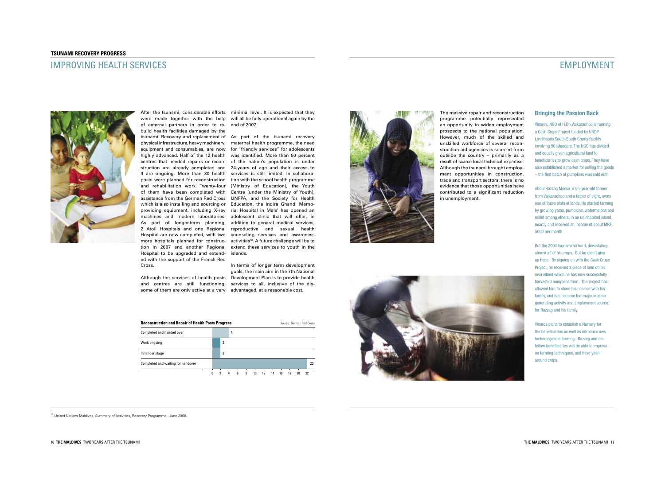### IMPROVING HEALTH SERVICES



# EMPLOYMENT

#### **Bringing the Passion Back**

Vinares, NGO of H.Dh.Vaikaradhoo is running a Cash Crops Project funded by UNDP Livelihoods South-South Grants Facility involving 50 islanders. The NGO has divided and equally given agricultural land to beneficiaries to grow cash crops. They have also established a market for selling the goods  $-$  the first batch of pumpkins was sold out!

Abdul Razzag Moosa, a 55-year-old farmer from Vaikaradhoo and a father of eight, owns one of these plots of lands. He started farming by growing yams, pumpkins, watermelons and millet among others, in an uninhabited island nearby and received an income of about MRF 5000 per month.

But the 2004 tsunami hit hard, devastating almost all of his crops. But he didn't give up hope. By signing on with the Cash Crops Project, he received a piece of land on his own island which he has now successfully harvested pumpkins from. The project has allowed him to share his passion with his family, and has become the major income generating activity and employment source for Razzag and his family.

Vinares plans to establish a Nursery for the beneficiaries as well as introduce new technologies in farming. Razzag and his fellow beneficiaries will be able to improve on farming techniques, and have yeararound crops.

After the tsunami, considerable efforts minimal level. It is expected that they were made together with the help willallbefullyoperationalagainbythe of external partners in order to re-endof2007. build health facilities damaged by the tsunami. Recovery and replacement of  $\,$  As  $\,$  part  $\,$  of the  $\,$  tsunami  $\,$  recovery  $\,$ physical infrastructure, heavy machinery, maternal health programme, the need equipment and consumables, are now for "friendly services" for adolescents highly advanced. Half of the 12 health was identified. More than 50 percent centres that needed repairs or recon-of the nation's population is under struction are already completed and 24-years of age and their access to 4 are ongoing. More than 30 health services is still limited. In collaboraposts were planned for reconstruction tion with the school health programme and rehabilitation work. Twenty-four (Ministry of Education), the Youth of them have been completed with Centre (under the Ministry ofYouth), assistance from the German Red Cross UNFPA, and the Society for Health which is also installing and sourcing or Education, the Indira Ghandi Memoproviding equipment, including X-ray rial Hospital in Male' has opened an machines and modern laboratories. adolescent clinic that will offer, in As part of longer-term planning, addition to general medical services, 2 Atoll Hospitals and one Regional reproductive and sexual health Hospital are now completed, with two counseling services and awareness more hospitals planned for construc- activities<sup>16</sup>. A future challenge will be to tion in 2007 and another Regional extend these services to youth in the Hospital to be upgraded and extend-islands. ed with the support of the French Red Cross.

Although the services of health posts Development Plan is to provide health and centres are still functioning, services to all, inclusive of the dis-

Completed and handed over **1999** and 1999 and 1999 and 1999 and 1999 and 1999 and 1999 and 1999 and 1999 and 1999 and 1999 and 1999 and 1999 and 1999 and 1999 and 1999 and 1999 and 1999 and 1999 and 1999 and 1999 and 1999

Work ongoing the contract of the contract of the contract of the contract of the contract of the contract of the contract of the contract of the contract of the contract of the contract of the contract of the contract of t

In tender stage 2

**Reconstruction and Repair of Health Posts Progress** Source: German Red Cross

**Completed and waiting for handover 22 Completed and waiting for handover 22** 

some of them are only active at a very advantaged, at a reasonable cost. In terms of longer term development goals, the main aim in the 7th National

0 2 4 6 8 10 12 14 16 18 20 22

The massive repair and reconstruction programme potentially represented an opportunity to widen employment prospects to the national population. However, much of the skilled and unskilled workforce of several reconstruction aid agencies is sourced from outside the country – primarily as a result of scarce local technical expertise. Although the tsunami brought employment opportunities in construction, trade and transport sectors, there is no evidence that those opportunities have contributed to a significant reduction in unemployment.



<sup>16</sup> United Nations Maldives, Summary of Activities, Recovery Programme - June 2006.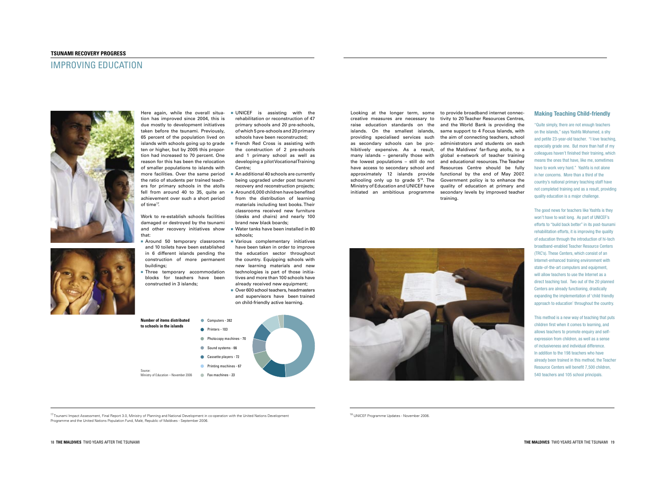tivity to 20 Teacher Resources Centres, and the World Bank is providing the same support to 4 Focus Islands, with the aim of connecting teachers, school administrators and students on each of the Maldives' far-flung atolls, to a global e-network of teacher training and educational resources. The Teacher Resources Centre should be fully functional by the end of May 2007. Government policy is to enhance the quality of education at primary and secondary levels by improved teacher training.



- Here again, while the overall situa-UNICEF is assisting with the rehabilitation or reconstruction of 47 primary schools and 20 pre-schools, of which 5 pre-schools and 20 primary schools have been reconstructed;
	- French Red Cross is assisting with the construction of 2 pre-schools and 1 primary school as well as developing a pilot Vocational Training Centre;
	- An additional 40 schools are currently being upgraded under post tsunami recovery and reconstruction projects;
	- Around 6,000 children have benefited from the distribution of learning materials including text books. Their classrooms received new furniture (desks and chairs) and nearly 100 brand new black boards;
- and other recovery initiatives show Watertankshavebeeninstalledin80 schools;
- Around 50 temporary classrooms Various complementary initiatives have been taken in order to improve the education sector throughout the country. Equipping schools with new learning materials and new technologies is part of those initia tives and more than 100 schools have already received new equipment;
	- Over 600 school teachers, headmasters and supervisors have been trained on child-friendly active learning.

tion has improved since 2004, this is due mostly to development initiatives taken before the tsunami. Previously, 65 percent of the population lived on islands with schools going up to grade ten or higher, but by 2005 this proportion had increased to 70 percent. One reason for this has been the relocation of smaller populations to islands with more facilities. Over the same period the ratio of students per trained teachers for primary schools in the atolls fell from around 40 to 35, quite an achievement over such a short period of time<sup>17</sup>.

Work to re-establish schools facilities damaged or destroyed by the tsunami that:

- and 10 toilets have been established in 6 different islands pending the construction of more permanent buildings;
- Three temporary accommodation blocks for teachers have been constructed in 3 islands;





<sup>17</sup> Tsunami Impact Assessment, Final Report 3.0, Ministry of Planning and National Development in co-operation with the United Nations Development Programme and the United Nations Population Fund, Malé, Republic of Maldives - September 2006.

<sup>18</sup> UNICEF Programme Updates - November 2006.

#### **Making Teaching Child-friendly**

"Quite simply, there are not enough teachers on the islands," says Yashfa Mohamed, a shy and petite 23-year-old teacher. "I love teaching, especially grade one. But more than half of my colleagues haven't finished their training, which means the ones that have, like me, sometimes have to work very hard." Yashfa is not alone in her concerns. More than a third of the country's national primary teaching staff have not completed training and as a result, providing quality education is a major challenge.

The good news for teachers like Yashfa is they won't have to wait long. As part of UNICEF's efforts to "build back better" in its post-tsunami rehabilitation efforts, it is improving the quality of education through the introduction of hi-tech broadband-enabled Teacher Resource Centers (TRC's). These Centers, which consist of an Internet-enhanced training environment with state-of-the-art computers and equipment, will allow teachers to use the Internet as a direct teaching tool. Two out of the 20 planned Centers are already functioning, drastically expanding the implementation of 'child friendly approach to education' throughout the country.

This method is a new way of teaching that puts children first when it comes to learning, and allows teachers to promote enquiry and selfexpression from children, as well as a sense of inclusiveness and individual difference. In addition to the 198 teachers who have already been trained in this method, the Teacher Resource Centers will benefit 7,500 children, 540 teachers and 105 school principals.

#### **TSUNAMI RECOVERY PROGRESS**

### IMPROVINGEDUCATION



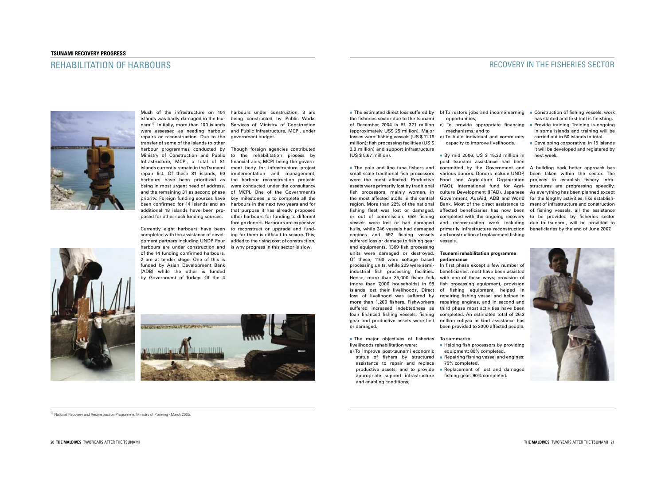### REHABILITATION OF HARBOURS



islands was badly damaged in the tsu- being constructed by Public Works nami<sup>19</sup>. Initially, more than 100 islands Services of Ministry of Construction were assessed as needing harbour and Public Infrastructure, MCPI, under repairs or reconstruction. Due to the government budget. transfer of some of the islands to other posed for other such funding sources.

losses were: fishing vessels (US \$ 11.16 million); fish processing facilities (US  $$$ 3.9 million) and support infrastructure (US\$5.67million). ■ The pole and line tuna fishers and small-scale traditional fish processors were the most affected. Productive

assets were primarily lost by traditional fish processors, mainly women, in the most affected atolls in the central region. More than 22% of the national fishing fleet was lost or damaged, or out of commission. 659 fishing vessels were lost or had damaged hulls, while 246 vessels had damaged engines and 592 fishing vessels suffered loss or damage to fishing gear and equipments. 1369 fish processing units were damaged or destroyed. Of these, 1160 were cottage based processing units, while 209 were semiindustrial fish processing facilities. Hence, more than 35,000 fisher folk (more than 7,000 households) in 98 islands lost their livelihoods. Direct loss of livelihood was suffered by more than 1,200 fishers. Fishworkers suffered increased indebtedness as loan financed fishing vessels, fishing gear and productive assets were lost or damaged.

 $\blacksquare$  The estimated direct loss suffered by the fisheries sector due to the tsunami of December 2004 is Rf. 321 million (approximately US\$ 25 million). Major



 status of fishers by structured assistance to repair and replace productive assets; and to provide appropriate support infrastructure and enabling conditions;

completed with the ongoing recovery to be provided by fisheries sector and reconstruction work including due to tsunami, will be provided to A building back better approach has been taken within the sector. The projects to establish fishery infrastructures are progressing speedily. As everything has been planned except for the lengthy activities, like establishment of infrastructure and construction of fishing vessels, all the assistance beneficiaries by the end of June 2007.



#### **Tsunami rehabilitation programme performance**

In first phase except a few number of beneficiaries, most have been assisted with one of these ways; provision of fish processing equipment, provision of fishing equipment, helped in repairing fishing vessel and helped in repairing engines, and in second and third phase most activities have been completed.An estimated total of 26.3 million rufiyaa in kind assistance has been provided to 2000 affected people.

- 
- $\blacksquare$  Helping fish processors by providing equipment:80%completed.
- Repairing fishing vessel and engines: 75%completed.
- Replacement of lost and damaged fishing gear: 90% completed.

The major objectives of fisheries Tosummarize livelihoods rehabilitation were: a)To improve post-tsunami economic

- $\blacksquare$  Construction of fishing vessels: work has started and first hull is finishing.
- Provide training: Training is ongoing in some islands and training will be carried out in 50 islands in total.
- Developing corporative: in 15 islands it will be developed and registered by nextweek.

harbour programmes conducted by Though foreign agencies contributed Ministry of Construction and Public to the rehabilitation process by Infrastructure, MCPI, a total of 81 financialaids,MCPIbeingthegovernislands currently remain in theTsunami wenthoody for infrastructure project repair list. Of these 81 islands, 50 implementation and management, harbours have been prioritized as the harbour reconstruction projects being in most urgent need of address, were conducted under the consultancy and the remaining 31 as second phase of MCPI. One of the Government's priority. Foreign funding sources have key milestones is to complete all the been confirmed for 14 islands and an harboursinthenexttwoyearsandfor additional 18 islands have been pro-that purpose it has already proposed opment partners including UNDP. Four added to the rising cost of construction, other harbours for funding to different foreign donors. Harbours are expensive to reconstruct or upgrade and funding for them is difficult to secure. This,

vessels.

<sup>19</sup> National Recovery and Reconstruction Programme, Ministry of Planning - March 2005

### RECOVERY IN THE FISHERIES SECTOR

- b) To restore jobs and income earning opportunities;
- c) To provide appropriate financing mechanisms; and to
- e) To build individual and community capacity to improve livelihoods.

■ By mid 2006, US \$ 15.33 million in post tsunami assistance had been committed by the Government and various donors. Donors include UNDP, Food and Agriculture Organization (FAO), International fund for Agriculture Development (IFAD), Japanese Government, AusAid, ADB and World Bank. Most of the direct assistance to affected beneficiaries has now been primarily infrastructure reconstruction and construction of replacement fishing

Much of the infrastructure on 104 harbours under construction, 3 are

Currently eight harbours have been completed with the assistance of develharbours are under construction and is why progress in this sector is slow. of the 14 funding confirmed harbours, 2 are at tender stage. One of this is funded by Asian Development Bank (ADB) while the other is funded by Government of Turkey. Of the 4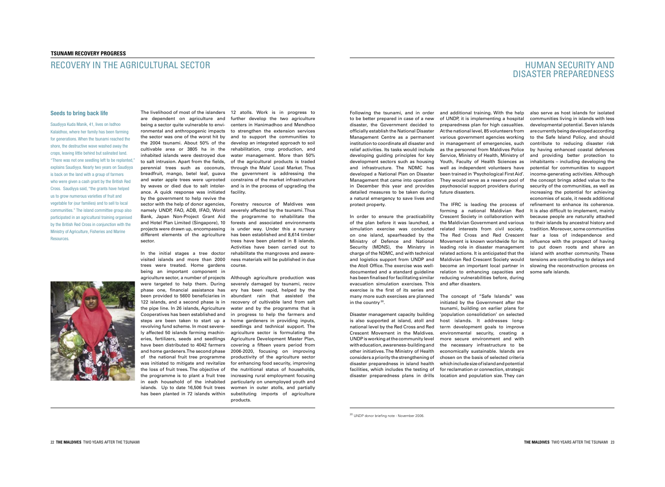Following the tsunami, and in order and additional training.With the help to be better prepared in case of a new disaster, the Government decided to officially establish the National Disaster Management Centre as a permanent institution to coordinate all disaster and relief activities. Its tasks would include developing guiding principles for key development sectors such as housing and infrastructure. The NDMC has developed a National Plan on Disaster Management that came into operation in December this year and provides detailed measures to be taken during a natural emergency to save lives and protect property.

In order to ensure the practicability of the plan before it was launched, a simulation exercise was conducted on one island, spearheaded by the Ministry of Defence and National Security (MDNS), the Ministry in charge of the NDMC, and with technical and logistics support from UNDP and the Atoll Office. The exercise was welldocumented and a standard quideline has been finalised for facilitating similar evacuation simulation exercises.This exercise is the first of its series and many more such exercises are planned in the country <sup>20</sup>.

Disaster management capacity building is also supported at island, atoll and national level by the Red Cross and Red Crescent Movement in the Maldives. UNDPisworkingatthecommunitylevel witheducation,awareness-buildingand other initiatives. The Ministry of Health considers a priority the strengthening of disaster preparedness in island health facilities, which includes the testing of disaster preparedness plans in drills

reducing vulnerabilities before, during and after disasters. The concept of "Safe Islands" was initiated by the Government after the tsunami, building on earlier plans for 'population consolidation' on selected host islands. It addresses longterm development goals to improve environmental security, creating a more secure environment and with the necessary infrastructure to be economically sustainable. Islands are chosen on the basis of selected criteria whichincludesizeofislandandpotential for reclamation or connection, strategic location and population size. They can

<sup>20</sup> UNDP donor briefing note - November 2006.

## **HUMAN SECURITY AND** DISASTER PREPAREDNESS

of UNDP, it is implementing a hospital preparedness plan for high casualties. At the national level, 85 volunteers from various government agencies working in management of emergencies, such as the personnel from Maldives Police Service, Ministry of Health, Ministry of Youth, Faculty of Health Sciences as well as independent volunteers have been trained in 'Psychological First Aid'. They would serve as a reserve pool of psychosocial support providers during future disasters

also serve as host islands for isolated communities living in islands with less developmental potential. Seven islands arecurrentlybeingdevelopedaccording to the Safe Island Policy, and should contribute to reducing disaster risk by having enhanced coastal defences and providing better protection to  $inhabitants$  – including developing the potential for communities to support income-generating activities. Although the concept brings added value to the security of the communities, as well as increasing the potential for achieving economies of scale, it needs additional refinement to enhance its coherence. It is also difficult to implement, mainly because people are naturally attached to their islands by ancestral history and tradition. Moreover, some communities fear a loss of independence and influence with the prospect of having to put down roots and share an island with another community. These tensions are contributing to delays and slowing the reconstruction process on somesafeislands.

The IFRC is leading the process of forming a national Maldivian Red Crescent Society in collaboration with the Maldivian Government and various related interests from civil society. The Red Cross and Red Crescent Movement is known worldwide for its leading role in disaster management related actions. It is anticipated that the Maldivian Red Crescent Society would become an important local partner in relation to enhancing capacities and

different elements of the agriculture hasbeenestablishedand8,614timber Forestry resource of Maldives was severely affected by the tsunami. Thus the programme to rehabilitate the forests and associated environments is under way. Under this a nursery trees have been planted in 8 islands. Activities have been carried out to rehabilitate the mangroves and awareness materials will be published in due

The livelihood of most of the islanders 12 atolls. Work is in progress to are dependent on agriculture and further develop the two agriculture being a sector quite vulnerable to envi- centers in Hanimadhoo and Mendhoo ronmental and anthropogenic impacts to strengthen the extension services the sector was one of the worst hit by and to support the communities to the 2004 tsunami. About 50% of the developanintegratedapproachtosoil inhabited islands were destroyed due water management. More than 50% to salt intrusion. Apart from the fields, of the agricultural products is traded by waves or died due to salt intoler- and is in the process of upgrading the rehabilitation, crop production, and through the Male' Local Market.Thus the government is addressing the constrains of the market infrastructure facility.

Saudiyya Kuda Manik, 41, lives on Isdhoo Kalaidhoo, where her family has been farming for generations. When the tsunami reached the shore, the destructive wave washed away the crops, leaving little behind but salinated land. "There was not one seedling left to be replanted," explains Saudiyya. Nearly two years on Saudiyya is back on the land with a group of farmers who were given a cash grant by the British Red Cross. Saudiyya said, "the grants have helped us to grow numerous varieties of fruit and vegetable for (our families) and to sell to local communities." The island committee group also participated in an agricultural training organised by the British Red Cross in conjunction with the Ministry of Agriculture, Fisheries and Marine Resources.



# RECOVERYINTHEAGRICULTURALSECTOR

#### **Seeds to bring back life**

cultivable area or 3805 ha in the perennial trees such as coconuts, breadfruit, mango, betel leaf, guava and water apple trees were uprooted ance. A quick response was initiated by the government to help revive the sector with the help of donor agencies, namely UNDP, FAO, ADB, IFAD, World Bank, Japan Non-Project Grant Aid and Hotel Plan Limited (Singapore), 10 projects were drawn up, encompassing sector.

In the initial stages a tree doctor visited islands and more than 2000 trees were treated. Home gardens course. being an important component in agriculture sector, a number of projects Although agriculture production was were targeted to help them. During phase one, financial assistance has ery has been rapid, helped by the been provided to 5600 beneficiaries in 122 islands, and a second phase is in the pipe line. In 26 islands, Agriculture Cooperatives has been established and steps are been taken to start up a home gardeners in providing inputs, revolving fund scheme. In most severely affected 50 islands farming machin- agriculture sector is formulating the eries, fertilizers, seeds and seedlings have been distributed to 4042 farmers covering a fifteen years period from and home gardeners. The second phase of the national fruit tree programme was initiated to mitigate and revitalize the loss of fruit trees. The objective of the programme is to plant a fruit tree increasing rural employment focusing in each household of the inhabited islands. Up to date 16,506 fruit trees women in outer atolls, and partially has been planted in 72 islands within substituting imports of agriculture

severely damaged by tsunami, recov abundant rain that assisted the recovery of cultivable land from salt water and by the programms that is in progress to help the farmers and seedlings and technical support. The Agriculture Development Master Plan, 2006-2020, focusing on improving productivity of the agriculture sector for enhancing food security, improving the nutritional status of households, particularly on unemployed youth and products.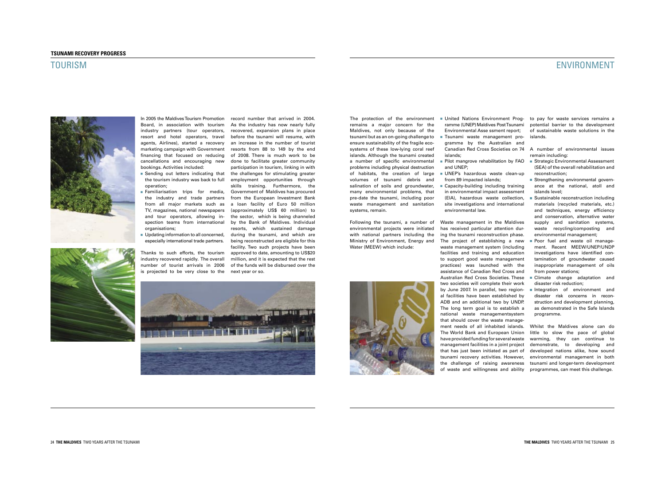The protection of the environment remains a major concern for the Maldives, not only because of the tsunami but as an on-going challenge to ensure sustainability of the fragile ecosystems of these low-lying coral reef islands. Although the tsunami created a number of specific environmental problems including physical destruction of habitats, the creation of large volumes of tsunami debris and salination of soils and groundwater, many environmental problems, that pre-date the tsunami, including poor waste management and sanitation systems, remain.

Following the tsunami, a number of environmental projects were initiated with national partners including the Ministry of Environment, Energy and Water (MEEW) which include:



Environmental Asse ssment report; Tsunami waste management pro gramme by the Australian and

 islands; **Pilot mangrove rehabilitation by FAO** and UNEP:

UNEP's hazardous waste clean-up from 89 impacted islands;

■ Capacity-building including training in environmental impact assessment (EIA), hazardous waste collection, site investigations and international environmental law.

# ENVIRONMENT

 United Nations Environment Prog- to pay for waste services remains a ramme (UNEP) Maldives Post Tsunami potential barrier to the development of sustainable waste solutions in the islands.

Canadian Red Cross Societies on 74 A number of environmental issues remain including:

- Strategic Environmental Assessment (SEA) of the overall rehabilitation and reconstruction;
- Strengthening environmental govern ance at the national, atoll and islands level;
- $\blacksquare$  Sustainable reconstruction including materials (recycled materials, etc.) and techniques, energy efficiency and conservation, alternative water supply and sanitation systems, waste recycling/composting and environmental management:
- Poor fuel and waste oil manage ment. Recent MEEW/UNEP/UNDP investigations have identified con tamination of groundwater caused inappropriate management of oils from power stations:
- Climate change adaptation and disaster risk reduction;
- Integration of environment and disaster risk concerns in recon struction and development planning, as demonstrated in the Safe Islands programme.

management facilities in a joint project demonstrate, to developing and that has just been initiated as part of developed nations alike, how sound tsunami recovery activities. However, environmental management in both the challenge of raising awareness tsunamiandlonger-termdevelopment Whilst the Maldives alone can do little to slow the pace of global warming, they can continue to

 and tour operators, allowing in- the sector, which is being channeled spection teams from international by the Bank of Maldives. Individual number of tourist arrivals in 2006 of the funds will be disbursed over the record number that arrived in 2004. As the industry has now nearly fully recovered, expansion plans in place before the tsunami will resume, with an increase in the number of tourist resorts from 88 to 149 by the end of 2008. There is much work to be done to facilitate greater community participation in tourism, linking in with the challenges for stimulating greater employment opportunities through skills training. Furthermore, the Government of Maldives has procured from the European Investment Bank a loan facility of Euro 50 million (approximately US\$ 60 million) to resorts, which sustained damage during the tsunami, and which are being reconstructed are eligible for this facility.Two such projects have been approved to date, amounting to US\$20 million, and it is expected that the rest



Waste management in the Maldives has received particular attention during the tsunami reconstruction phase. The project of establishing a new waste management system (including facilities and training and education to support good waste management practices) was launched with the assistance of Canadian Red Cross and Australian Red Cross Societies.These two societies will complete their work by June 2007. In parallel, two regional facilities have been established by ADB and an additional two by UNDP. The long term goal is to establish a national waste managementsystem that should cover the waste management needs of all inhabited islands. The World Bank and European Union have provided funding for several waste of waste and willingness and ability programmes,canmeetthischallenge.



#### **TSUNAMI RECOVERY PROGRESS**

### TOURISM



In 2005 the Maldives Tourism Promotion Board, in association with tourism industry partners (tour operators, resort and hotel operators, travel agents, Airlines), started a recovery marketing campaign with Government financing that focused on reducing cancellations and encouraging new bookings. Activities included:

- Sending out letters indicating that the tourism industry was back to full operation;
- **Familiarisation trips for media,**  the industry and trade partners from all major markets such as TV, magazines, national newspapers organisations;
- Updating information to all concerned, especially international trade partners.

Thanks to such efforts, the tourism industry recovered rapidly. The overall is projected to be very close to the nextyearorso.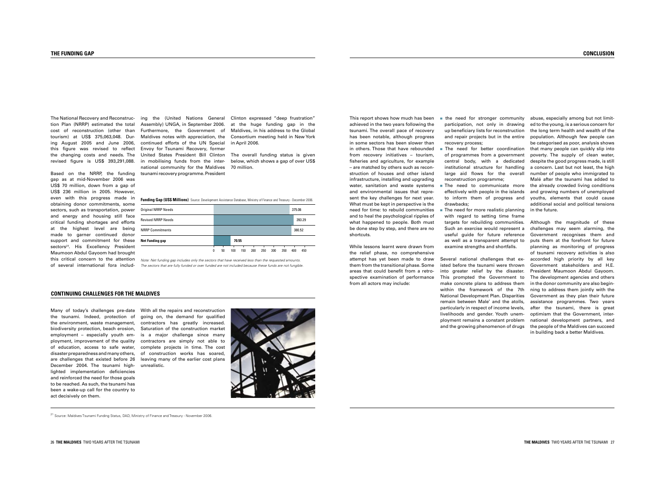the need for stronger community participation, not only in drawing up beneficiary lists for reconstruction and repair projects but in the entire recovery process;

The need for better coordination of programmes from a government central body, with a dedicated institutional structure for handling large aid flows for the overall reconstruction programme;

This report shows how much has been achieved in the two years following the tsunami.The overall pace of recovery has been notable, although progress in some sectors has been slower than in others.Those that have rebounded from recovery initiatives – tourism, fisheries and agriculture, for example – are matched by others such as reconstruction of houses and other island infrastructure, installing and upgrading water, sanitation and waste systems and environmental issues that represent the key challenges for next year. What must be kept in perspective is the need for time: to rebuild communities and to heal the psychological ripples of what happened to people. Both must be done step by step, and there are no shortcuts.

While lessons learnt were drawn from the relief phase, no comprehensive attempt has yet been made to draw them from the transitional phase. Some areas that could benefit from a retrospective examination of performance from all actors may include:

- 
- 
- 
- 

**The need to communicate more** effectively with people in the islands to inform them of progress and drawbacks;

 $\blacksquare$  The need for more realistic planning with regard to setting time frame targets for rebuilding communities. Such an exercise would represent a useful guide for future reference as well as a transparent attempt to examine strengths and shortfalls.

abuse, especially among but not limited to the young, is a serious concern for the long term health and wealth of the population. Although few people can be categorised as poor, analysis shows that many people can quickly slip into poverty. The supply of clean water, despite the good progress made, is still a concern. Last but not least, the high number of people who immigrated to Malé after the tsunami has added to the already crowded living conditions and growing numbers of unemployed youths, elements that could cause additional social and political tensions in the future.

Several national challenges that existed before the tsunami were thrown into greater relief by the disaster. This prompted the Government to make concrete plans to address them within the framework of the 7th National Development Plan. Disparities remain between Male' and the atolls, particularly in respect of income levels, livelihoods and gender. Youth unemployment remains a constant problem and the growing phenomenon of drugs

<sup>21</sup> Source: Maldives Tsunami Funding Status, DAD, Ministry of Finance and Treasury - November 2006.

Although the magnitude of these challenges may seem alarming, the Government recognises them and puts them at the forefront for future planning as monitoring of progress of tsunami recovery activities is also accorded high priority by all key Government stakeholders and H.E. President Maumoon Abdul Gayoom. The development agencies and others in the donor community are also beginning to address them jointly with the Government as they plan their future assistance programmes. Two years after the tsunami, there is great optimism that the Government, international development partners, and the people of the Maldives can succeed in building back a better Maldives.

tion Plan (NRRP) estimated the total cost of reconstruction (other than tourism) at US\$ 375,063,048. During August 2005 and June 2006, this figure was revised to reflect the changing costs and needs. The revised figure is US\$ 393,291,088.

Based on the NRRP, the funding gap as at mid-November 2006 was US\$ 70 million, down from a gap of US\$ 236 million in 2005. However, even with this progress made in obtaining donor commitments, some sectors, such as transportation, powe and energy and housing still face critical funding shortages and efforts at the highest level are being made to garner continued donor support and commitment for these sectors<sup>21</sup>. His Excellency President Maumoon Abdul Gayoom had brought this critical concern to the attention of several international fora includ-

The National Recovery and Reconstruc-  $\;$  ing  $\;$  the  $\;$  (United Nations General Clinton expressed "deep frustration"  $\;$ continued efforts of the UN Special Envoy for Tsunami Recovery, former national community for the Maldives 70million.tsunami recovery programme. President

Assembly) UNGA, in September 2006. at the huge funding gap in the Furthermore, the Government of Maldives,inhisaddresstotheGlobal Maldives notes with appreciation, the ConsortiummeetingheldinNewYork in April 2006.

| r  | <b>Original NRRP Needs</b> |   |    |       |     |     |     |     |     | 375.06 |        |  |
|----|----------------------------|---|----|-------|-----|-----|-----|-----|-----|--------|--------|--|
| э. | <b>Revised NRRP Needs</b>  |   |    |       |     |     |     |     |     |        | 393.29 |  |
| r  | <b>NRRP Commitments</b>    |   |    |       |     |     |     |     |     |        | 380.52 |  |
| ë  | <b>Net Funding gap</b>     |   |    | 70.55 |     |     |     |     |     |        |        |  |
| A. |                            | 0 | 50 | 100   | 150 | 200 | 250 | 300 | 350 | 400    | 450    |  |

Note: Net funding gap includes only the sectors that have received less than the requested amounts. The sectors that are fully funded or over funded are not included because these funds are not fungible.

#### **CONTINUING CHALLENGES FOR THE MALDIVES**

Many of today's challenges pre-date With all the repairs and reconstruction the tsunami. Indeed, protection of the environment, waste management, contractors has greatly increased. biodiversity protection, beach erosion, employment – especially youth employment, improvement of the quality of education, access to safe water, disaster preparedness and many others, are challenges that existed before 26 December 2004. The tsunami highlighted implementation deficiencies and reinforced the need for those goals to be reached. As such, the tsunami has been a wake-up call for the country to act decisively on them.

United States President Bill Clinton The overall funding status is given in mobilising funds from the inter- below,whichshowsagapofoverUS\$

**Funding Gap (US\$ Millions)** Source: Development Assistance Database, Ministry of Finance and Treasury - December 2006.

going on, the demand for qualified Saturation of the construction market is a major challenge since many contractors are simply not able to complete projects in time. The cost of construction works has soared, leaving many of the earlier cost plans unrealistic.

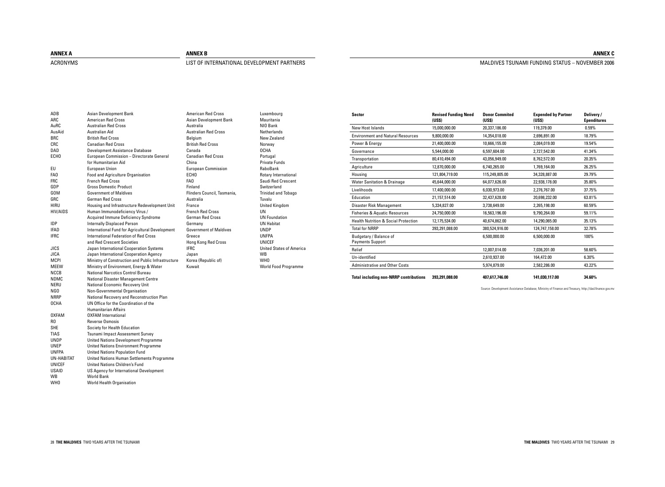28**THEMALDIVES**TWOYEARSAFTERTHETSUNAMI **THEMALDIVES**TWOYEARSAFTERTHETSUNAMI29

| <b>Sector</b>                                     | <b>Revised Funding Need</b><br>(US <sub>3</sub> ) | <b>Donor Commited</b><br>(USS) | <b>Expended by Partner</b><br>(USS) | Delivery/<br><b>Ependitures</b> |
|---------------------------------------------------|---------------------------------------------------|--------------------------------|-------------------------------------|---------------------------------|
| New Host Islands                                  | 15,000,000.00                                     | 20,337,186.00                  | 119,379.00                          | 0.59%                           |
| <b>Environment and Natural Resources</b>          | 9,800,000.00                                      | 14,354,018.00                  | 2,696,891.00                        | 18.79%                          |
| Power & Energy                                    | 21,400,000.00                                     | 10,666,155.00                  | 2,084,019.00                        | 19.54%                          |
| Governance                                        | 5,544,000.00                                      | 6,597,604.00                   | 2,727,542.00                        | 41.34%                          |
| Transportation                                    | 80,410,494.00                                     | 43,056,949.00                  | 8,762,572.00                        | 20.35%                          |
| Agriculture                                       | 12,870,000.00                                     | 6,740,265.00                   | 1,769,164.00                        | 26.25%                          |
| Housing                                           | 121,804,719.00                                    | 115,249,805.00                 | 34,328,887.00                       | 29.79%                          |
| <b>Water Sanitation &amp; Drainage</b>            | 45,644,000.00                                     | 64,077,626.00                  | 22,938,178.00                       | 35.80%                          |
| Livelihoods                                       | 17,400,000.00                                     | 6,030,973.00                   | 2,276,767.00                        | 37.75%                          |
| Education                                         | 21,157,514.00                                     | 32,437,628.00                  | 20,698,232.00                       | 63.81%                          |
| Disaster Risk Management                          | 5,334,827.00                                      | 3,738,649.00                   | 2,265,198.00                        | 60.59%                          |
| <b>Fisheries &amp; Aquatic Resources</b>          | 24,750,000.00                                     | 16,563,196.00                  | 9,790,264.00                        | 59.11%                          |
| <b>Health Nutrition &amp; Social Protection</b>   | 12,175,534.00                                     | 40,674,862.00                  | 14,290,065.00                       | 35.13%                          |
| <b>Total for NRRP</b>                             | 393,291,088.00                                    | 380,524,916.00                 | 124,747,158.00                      | 32.78%                          |
| Budgetary / Balance of<br><b>Payments Support</b> |                                                   | 6,500,000.00                   | 6.500.000.00                        | 100%                            |
| Relief                                            |                                                   | 12,007,014.00                  | 7,036,201.00                        | 58.60%                          |
| Un-identified                                     |                                                   | 2,610,937.00                   | 164,472.00                          | 6.30%                           |
| <b>Administrative and Other Costs</b>             |                                                   | 5,974,879.00                   | 2,582,286.00                        | 43.22%                          |
| <b>Total including non-NRRP contributions</b>     | 393.291.088.00                                    | 407,617,746.00                 | 141,030,117.00                      | 34.60%                          |

#### **ANNEX C**

#### MALDIVES TSUNAMI FUNDING STATUS - NOVEMBER 2006

Source: Development Assistance Database, Ministry of Finance and Treasury, http://dad.finance.gov.mv

Luxembourg Mauritania NIO Bank Netherlands NewZealand Norway OCHA Portugal Private Funds RaboBank Rotary International Saudi Red Crescent Switzerland Trinidad and Tobago Tuvalu United Kingdom UN UN Foundation **UN Habitat** UNDP UNFPA UNICEF United States of America WB WHO World Food Programme

| ADB              | <b>Asian Development Bank</b>                      | <b>American Red Cross</b>     |
|------------------|----------------------------------------------------|-------------------------------|
| ARC              | <b>American Red Cross</b>                          | Asian Development Bank        |
| AuRC             | <b>Australian Red Cross</b>                        | Australia                     |
| AusAid           | Australian Aid                                     | <b>Australian Red Cross</b>   |
| <b>BRC</b>       | <b>British Red Cross</b>                           | Belgium                       |
| CRC              | <b>Canadian Red Cross</b>                          | <b>British Red Cross</b>      |
| DAD              | Development Assistance Database                    | Canada                        |
| ECH <sub>0</sub> | European Commission - Directorate General          | <b>Canadian Red Cross</b>     |
|                  | for Humanitarian Aid                               | China                         |
| EU               | <b>European Union</b>                              | <b>European Commission</b>    |
| FA <sub>0</sub>  | Food and Agriculture Organisation                  | ECH <sub>0</sub>              |
| <b>FRC</b>       | <b>French Red Cross</b>                            | FA0                           |
| GDP              | <b>Gross Domestic Product</b>                      | Finland                       |
| GOM              | <b>Government of Maldives</b>                      | Flinders Council, Tasmania,   |
| GRC              | <b>German Red Cross</b>                            | Australia                     |
| <b>HIRU</b>      | Housing and Infrastructure Redevelopment Unit      | France                        |
| HIV/AIDS         | Human Immunodeficiency Virus /                     | <b>French Red Cross</b>       |
|                  | Acquired Immune Deficiency Syndrome                | <b>German Red Cross</b>       |
| <b>IDP</b>       | <b>Internally Displaced Person</b>                 | Germany                       |
| IFAD             | International Fund for Agricultural Development    | <b>Government of Maldives</b> |
| <b>IFRC</b>      | <b>International Federation of Red Cross</b>       | Greece                        |
|                  | and Red Crescent Societies                         | Hong Kong Red Cross           |
| JICS             | Japan International Cooperation Systems            | <b>IFRC</b>                   |
| <b>JICA</b>      | Japan International Cooperation Agency             | Japan                         |
| <b>MCPI</b>      | Ministry of Construction and Public Infrastructure | Korea (Republic of)           |
| MEEW             | Ministry of Environment, Energy & Water            | Kuwait                        |
| <b>NCCB</b>      | National Narcotics Control Bureau                  |                               |
| NDMC             | National Disaster Management Centre                |                               |
| NERU             | National Economic Recovery Unit                    |                               |
| NGO              | Non-Governmental Organisation                      |                               |
| <b>NRRP</b>      | National Recovery and Reconstruction Plan          |                               |
| <b>OCHA</b>      | UN Office for the Coordination of the              |                               |
|                  | <b>Humanitarian Affairs</b>                        |                               |
| <b>OXFAM</b>     | <b>OXFAM International</b>                         |                               |
| RO.              | Reverse Osmosis                                    |                               |
| <b>SHE</b>       | Society for Health Education                       |                               |
| <b>TIAS</b>      | Tsunami Impact Assessment Survey                   |                               |
| <b>UNDP</b>      | <b>United Nations Development Programme</b>        |                               |
| <b>UNEP</b>      | <b>United Nations Environment Programme</b>        |                               |
| <b>UNFPA</b>     | <b>United Nations Population Fund</b>              |                               |
| UN-HABITAT       | United Nations Human Settlements Programme         |                               |
| <b>UNICEF</b>    | <b>United Nations Children's Fund</b>              |                               |
| <b>USAID</b>     | US Agency for International Development            |                               |
| WB               | <b>World Bank</b>                                  |                               |
| WH <sub>0</sub>  | World Health Organisation                          |                               |

#### **ANNEXA**

#### ACRONYMS

#### **ANNEX B**

### LIST OF INTERNATIONAL DEVELOPMENT PARTNERS